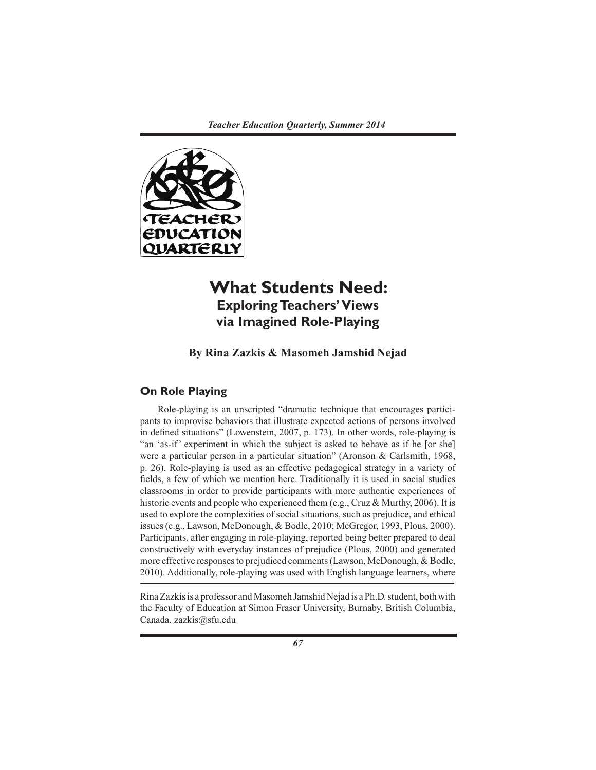

# **What Students Need: Exploring Teachers' Views via Imagined Role-Playing**

**By Rina Zazkis & Masomeh Jamshid Nejad**

# **On Role Playing**

Role-playing is an unscripted "dramatic technique that encourages participants to improvise behaviors that illustrate expected actions of persons involved in defined situations" (Lowenstein, 2007, p. 173). In other words, role-playing is "an 'as-if' experiment in which the subject is asked to behave as if he [or she] were a particular person in a particular situation" (Aronson & Carlsmith, 1968, p. 26). Role-playing is used as an effective pedagogical strategy in a variety of fields, a few of which we mention here. Traditionally it is used in social studies classrooms in order to provide participants with more authentic experiences of historic events and people who experienced them (e.g., Cruz & Murthy, 2006). It is used to explore the complexities of social situations, such as prejudice, and ethical issues (e.g., Lawson, McDonough, & Bodle, 2010; McGregor, 1993, Plous, 2000). Participants, after engaging in role-playing, reported being better prepared to deal constructively with everyday instances of prejudice (Plous, 2000) and generated more effective responses to prejudiced comments (Lawson, McDonough, & Bodle, 2010). Additionally, role-playing was used with English language learners, where

Rina Zazkis is a professor and Masomeh Jamshid Nejad is a Ph.D. student, both with the Faculty of Education at Simon Fraser University, Burnaby, British Columbia, Canada. zazkis@sfu.edu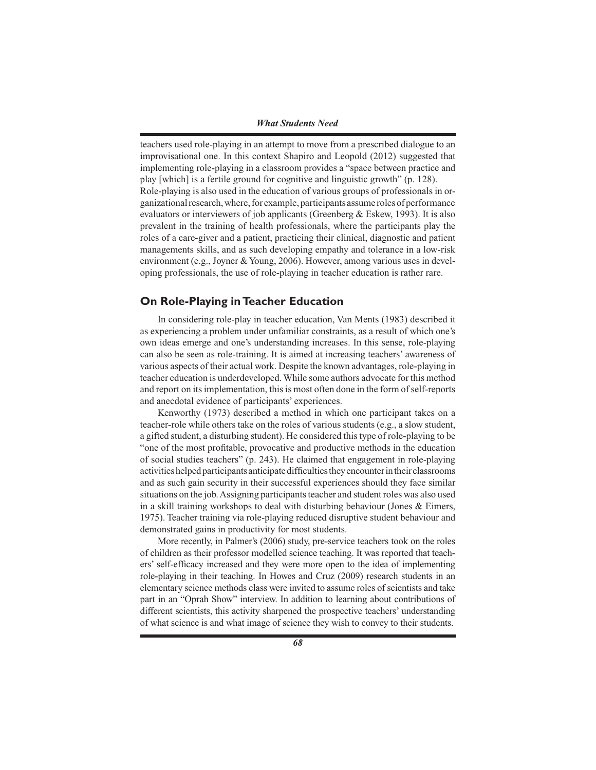teachers used role-playing in an attempt to move from a prescribed dialogue to an improvisational one. In this context Shapiro and Leopold (2012) suggested that implementing role-playing in a classroom provides a "space between practice and play [which] is a fertile ground for cognitive and linguistic growth" (p. 128). Role-playing is also used in the education of various groups of professionals in organizational research, where, for example, participants assume roles of performance evaluators or interviewers of job applicants (Greenberg & Eskew, 1993). It is also prevalent in the training of health professionals, where the participants play the roles of a care-giver and a patient, practicing their clinical, diagnostic and patient managements skills, and as such developing empathy and tolerance in a low-risk environment (e.g., Joyner & Young, 2006). However, among various uses in developing professionals, the use of role-playing in teacher education is rather rare.

# **On Role-Playing in Teacher Education**

In considering role-play in teacher education, Van Ments (1983) described it as experiencing a problem under unfamiliar constraints, as a result of which one's own ideas emerge and one's understanding increases. In this sense, role-playing can also be seen as role-training. It is aimed at increasing teachers' awareness of various aspects of their actual work. Despite the known advantages, role-playing in teacher education is underdeveloped. While some authors advocate for this method and report on its implementation, this is most often done in the form of self-reports and anecdotal evidence of participants' experiences.

Kenworthy (1973) described a method in which one participant takes on a teacher-role while others take on the roles of various students (e.g., a slow student, a gifted student, a disturbing student). He considered this type of role-playing to be "one of the most profitable, provocative and productive methods in the education of social studies teachers" (p. 243). He claimed that engagement in role-playing activities helped participants anticipate difficulties they encounter in their classrooms and as such gain security in their successful experiences should they face similar situations on the job. Assigning participants teacher and student roles was also used in a skill training workshops to deal with disturbing behaviour (Jones  $\&$  Eimers, 1975). Teacher training via role-playing reduced disruptive student behaviour and demonstrated gains in productivity for most students.

More recently, in Palmer's (2006) study, pre-service teachers took on the roles of children as their professor modelled science teaching. It was reported that teachers' self-efficacy increased and they were more open to the idea of implementing role-playing in their teaching. In Howes and Cruz (2009) research students in an elementary science methods class were invited to assume roles of scientists and take part in an "Oprah Show" interview. In addition to learning about contributions of different scientists, this activity sharpened the prospective teachers' understanding of what science is and what image of science they wish to convey to their students.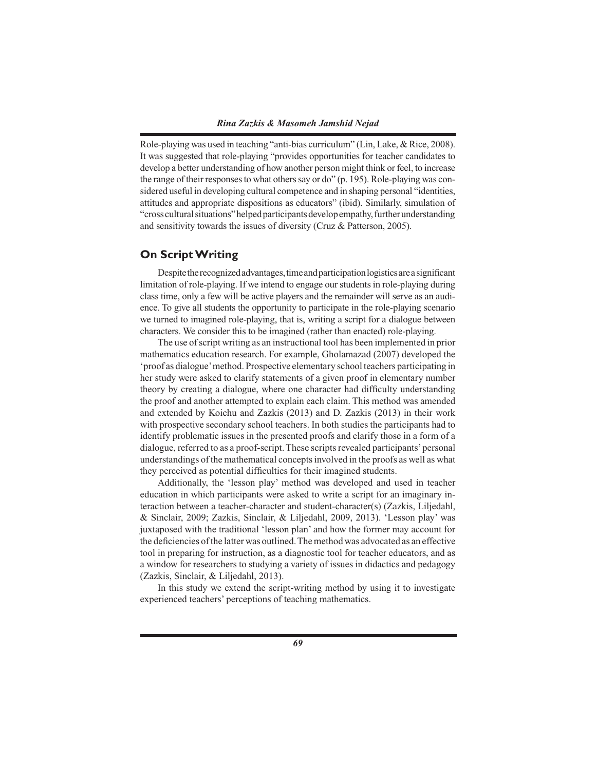Role-playing was used in teaching "anti-bias curriculum" (Lin, Lake, & Rice, 2008). It was suggested that role-playing "provides opportunities for teacher candidates to develop a better understanding of how another person might think or feel, to increase the range of their responses to what others say or do" (p. 195). Role-playing was considered useful in developing cultural competence and in shaping personal "identities, attitudes and appropriate dispositions as educators" (ibid). Similarly, simulation of "cross cultural situations" helped participants develop empathy, further understanding and sensitivity towards the issues of diversity (Cruz & Patterson, 2005).

# **On Script Writing**

Despite the recognized advantages, time and participation logistics are a significant limitation of role-playing. If we intend to engage our students in role-playing during class time, only a few will be active players and the remainder will serve as an audience. To give all students the opportunity to participate in the role-playing scenario we turned to imagined role-playing, that is, writing a script for a dialogue between characters. We consider this to be imagined (rather than enacted) role-playing.

The use of script writing as an instructional tool has been implemented in prior mathematics education research. For example, Gholamazad (2007) developed the 'proof as dialogue' method. Prospective elementary school teachers participating in her study were asked to clarify statements of a given proof in elementary number theory by creating a dialogue, where one character had difficulty understanding the proof and another attempted to explain each claim. This method was amended and extended by Koichu and Zazkis (2013) and D. Zazkis (2013) in their work with prospective secondary school teachers. In both studies the participants had to identify problematic issues in the presented proofs and clarify those in a form of a dialogue, referred to as a proof-script. These scripts revealed participants' personal understandings of the mathematical concepts involved in the proofs as well as what they perceived as potential difficulties for their imagined students.

Additionally, the 'lesson play' method was developed and used in teacher education in which participants were asked to write a script for an imaginary interaction between a teacher-character and student-character(s) (Zazkis, Liljedahl, & Sinclair, 2009; Zazkis, Sinclair, & Liljedahl, 2009, 2013). 'Lesson play' was juxtaposed with the traditional 'lesson plan' and how the former may account for the deficiencies of the latter was outlined. The method was advocated as an effective tool in preparing for instruction, as a diagnostic tool for teacher educators, and as a window for researchers to studying a variety of issues in didactics and pedagogy (Zazkis, Sinclair, & Liljedahl, 2013).

In this study we extend the script-writing method by using it to investigate experienced teachers' perceptions of teaching mathematics.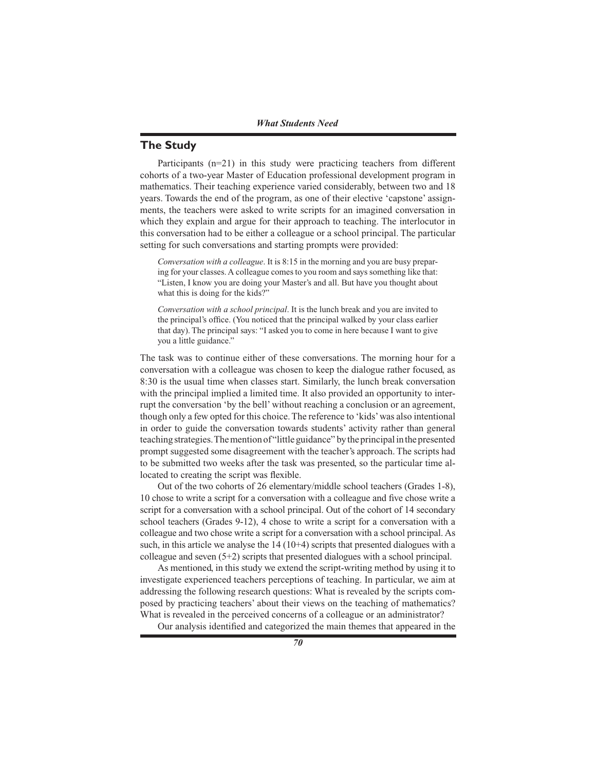# **The Study**

Participants  $(n=21)$  in this study were practicing teachers from different cohorts of a two-year Master of Education professional development program in mathematics. Their teaching experience varied considerably, between two and 18 years. Towards the end of the program, as one of their elective 'capstone' assignments, the teachers were asked to write scripts for an imagined conversation in which they explain and argue for their approach to teaching. The interlocutor in this conversation had to be either a colleague or a school principal. The particular setting for such conversations and starting prompts were provided:

*Conversation with a colleague*. It is 8:15 in the morning and you are busy preparing for your classes. A colleague comes to you room and says something like that: "Listen, I know you are doing your Master's and all. But have you thought about what this is doing for the kids?"

*Conversation with a school principal*. It is the lunch break and you are invited to the principal's office. (You noticed that the principal walked by your class earlier that day). The principal says: "I asked you to come in here because I want to give you a little guidance."

The task was to continue either of these conversations. The morning hour for a conversation with a colleague was chosen to keep the dialogue rather focused, as 8:30 is the usual time when classes start. Similarly, the lunch break conversation with the principal implied a limited time. It also provided an opportunity to interrupt the conversation 'by the bell' without reaching a conclusion or an agreement, though only a few opted for this choice. The reference to 'kids' was also intentional in order to guide the conversation towards students' activity rather than general teaching strategies. The mention of "little guidance" by the principal in the presented prompt suggested some disagreement with the teacher's approach. The scripts had to be submitted two weeks after the task was presented, so the particular time allocated to creating the script was flexible.

Out of the two cohorts of 26 elementary/middle school teachers (Grades 1-8), 10 chose to write a script for a conversation with a colleague and five chose write a script for a conversation with a school principal. Out of the cohort of 14 secondary school teachers (Grades 9-12), 4 chose to write a script for a conversation with a colleague and two chose write a script for a conversation with a school principal. As such, in this article we analyse the  $14 (10+4)$  scripts that presented dialogues with a colleague and seven (5+2) scripts that presented dialogues with a school principal.

As mentioned, in this study we extend the script-writing method by using it to investigate experienced teachers perceptions of teaching. In particular, we aim at addressing the following research questions: What is revealed by the scripts composed by practicing teachers' about their views on the teaching of mathematics? What is revealed in the perceived concerns of a colleague or an administrator?

Our analysis identified and categorized the main themes that appeared in the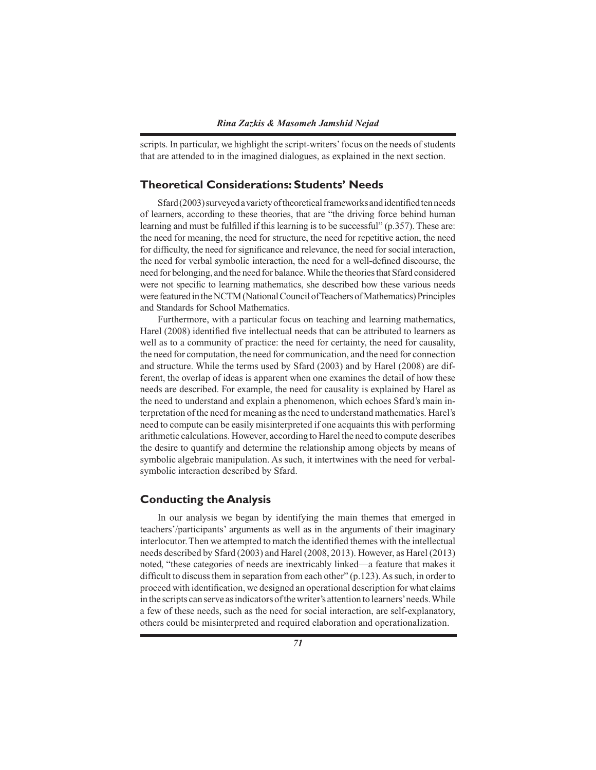scripts. In particular, we highlight the script-writers' focus on the needs of students that are attended to in the imagined dialogues, as explained in the next section.

# **Theoretical Considerations: Students' Needs**

Sfard (2003) surveyed a variety of theoretical frameworks and identified ten needs of learners, according to these theories, that are "the driving force behind human learning and must be fulfilled if this learning is to be successful" (p.357). These are: the need for meaning, the need for structure, the need for repetitive action, the need for difficulty, the need for significance and relevance, the need for social interaction, the need for verbal symbolic interaction, the need for a well-defined discourse, the need for belonging, and the need for balance. While the theories that Sfard considered were not specific to learning mathematics, she described how these various needs were featured in the NCTM (National Council of Teachers of Mathematics) Principles and Standards for School Mathematics.

Furthermore, with a particular focus on teaching and learning mathematics, Harel (2008) identified five intellectual needs that can be attributed to learners as well as to a community of practice: the need for certainty, the need for causality, the need for computation, the need for communication, and the need for connection and structure. While the terms used by Sfard (2003) and by Harel (2008) are different, the overlap of ideas is apparent when one examines the detail of how these needs are described. For example, the need for causality is explained by Harel as the need to understand and explain a phenomenon, which echoes Sfard's main interpretation of the need for meaning as the need to understand mathematics. Harel's need to compute can be easily misinterpreted if one acquaints this with performing arithmetic calculations. However, according to Harel the need to compute describes the desire to quantify and determine the relationship among objects by means of symbolic algebraic manipulation. As such, it intertwines with the need for verbalsymbolic interaction described by Sfard.

# **Conducting the Analysis**

In our analysis we began by identifying the main themes that emerged in teachers'/participants' arguments as well as in the arguments of their imaginary interlocutor. Then we attempted to match the identified themes with the intellectual needs described by Sfard (2003) and Harel (2008, 2013). However, as Harel (2013) noted, "these categories of needs are inextricably linked—a feature that makes it difficult to discuss them in separation from each other" (p.123). As such, in order to proceed with identification, we designed an operational description for what claims in the scripts can serve as indicators of the writer's attention to learners' needs. While a few of these needs, such as the need for social interaction, are self-explanatory, others could be misinterpreted and required elaboration and operationalization.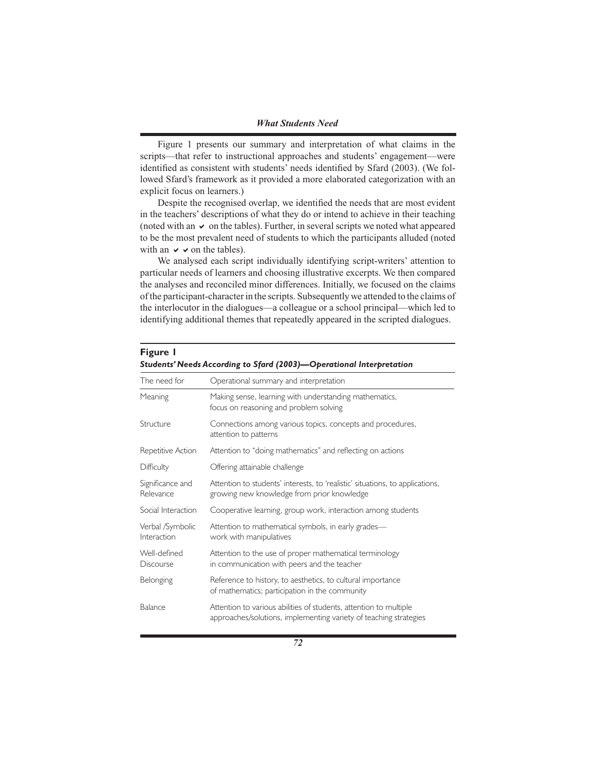#### *What Students Need*

Figure 1 presents our summary and interpretation of what claims in the scripts—that refer to instructional approaches and students' engagement—were identified as consistent with students' needs identified by Sfard (2003). (We followed Sfard's framework as it provided a more elaborated categorization with an explicit focus on learners.)

Despite the recognised overlap, we identified the needs that are most evident in the teachers' descriptions of what they do or intend to achieve in their teaching (noted with an  $\vee$  on the tables). Further, in several scripts we noted what appeared to be the most prevalent need of students to which the participants alluded (noted with an  $\vee \vee$  on the tables).

We analysed each script individually identifying script-writers' attention to particular needs of learners and choosing illustrative excerpts. We then compared the analyses and reconciled minor differences. Initially, we focused on the claims of the participant-character in the scripts. Subsequently we attended to the claims of the interlocutor in the dialogues—a colleague or a school principal—which led to identifying additional themes that repeatedly appeared in the scripted dialogues.

| The need for                    | Operational summary and interpretation                                                                                                 |
|---------------------------------|----------------------------------------------------------------------------------------------------------------------------------------|
| Meaning                         | Making sense, learning with understanding mathematics,<br>focus on reasoning and problem solving                                       |
| Structure                       | Connections among various topics, concepts and procedures,<br>attention to patterns                                                    |
| Repetitive Action               | Attention to "doing mathematics" and reflecting on actions                                                                             |
| Difficulty                      | Offering attainable challenge                                                                                                          |
| Significance and<br>Relevance   | Attention to students' interests, to 'realistic' situations, to applications,<br>growing new knowledge from prior knowledge            |
| Social Interaction              | Cooperative learning, group work, interaction among students                                                                           |
| Verbal /Symbolic<br>Interaction | Attention to mathematical symbols, in early grades-<br>work with manipulatives                                                         |
| Well-defined<br>Discourse       | Attention to the use of proper mathematical terminology<br>in communication with peers and the teacher                                 |
| <b>Belonging</b>                | Reference to history, to aesthetics, to cultural importance<br>of mathematics; participation in the community                          |
| Balance                         | Attention to various abilities of students, attention to multiple<br>approaches/solutions, implementing variety of teaching strategies |

### **Figure 1** *Students' Needs According to Sfard (2003)—Operational Interpretation*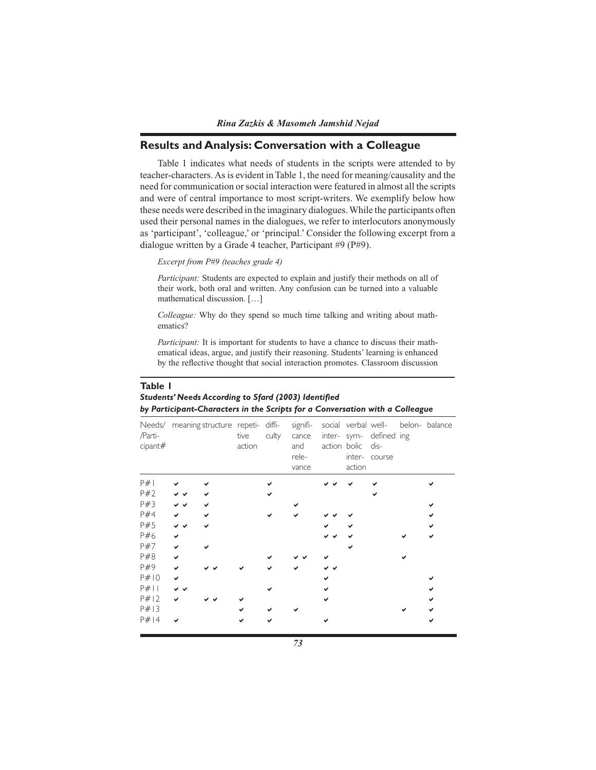# **Results and Analysis: Conversation with a Colleague**

Table 1 indicates what needs of students in the scripts were attended to by teacher-characters. As is evident in Table 1, the need for meaning/causality and the need for communication or social interaction were featured in almost all the scripts and were of central importance to most script-writers. We exemplify below how these needs were described in the imaginary dialogues. While the participants often used their personal names in the dialogues, we refer to interlocutors anonymously as 'participant', 'colleague,' or 'principal.' Consider the following excerpt from a dialogue written by a Grade 4 teacher, Participant #9 (P#9).

### *Excerpt from P#9 (teaches grade 4)*

*Participant:* Students are expected to explain and justify their methods on all of their work, both oral and written. Any confusion can be turned into a valuable mathematical discussion. […]

*Colleague:* Why do they spend so much time talking and writing about mathematics?

*Participant:* It is important for students to have a chance to discuss their mathematical ideas, argue, and justify their reasoning. Students' learning is enhanced by the reflective thought that social interaction promotes. Classroom discussion

### **Table 1** *Students' Needs According to Sfard (2003) Identified by Participant-Characters in the Scripts for a Conversation with a Colleague*

| /Parti-<br>cipant# |     | Needs/ meaning structure repeti- diffi- | tive<br>action | culty | cance<br>and<br>rele-<br>vance | action bolic dis-<br>action | inter- sym- defined ing<br>inter- course | signifi- social verbal well- belon- balance |
|--------------------|-----|-----------------------------------------|----------------|-------|--------------------------------|-----------------------------|------------------------------------------|---------------------------------------------|
| P#                 |     |                                         |                |       |                                |                             |                                          |                                             |
| P#2                |     |                                         |                |       |                                |                             |                                          |                                             |
| P#3                | v v |                                         |                |       |                                |                             |                                          |                                             |
| P#4                | ✔   |                                         |                |       |                                |                             |                                          |                                             |
| P#5                | v v |                                         |                |       |                                |                             |                                          |                                             |
| P#6                | ✓   |                                         |                |       |                                |                             |                                          |                                             |
| P#7                | ✓   |                                         |                |       |                                |                             |                                          |                                             |
| P#8                | ✔   |                                         |                |       |                                |                             |                                          |                                             |
| P#9                |     |                                         |                |       |                                |                             |                                          |                                             |
| P#10               | ◡   |                                         |                |       |                                |                             |                                          |                                             |
| P#11               |     |                                         |                |       |                                |                             |                                          |                                             |
| P#12               |     |                                         |                |       |                                |                             |                                          |                                             |
| P#13               |     |                                         |                |       |                                |                             |                                          |                                             |
| P#14               |     |                                         |                |       |                                |                             |                                          |                                             |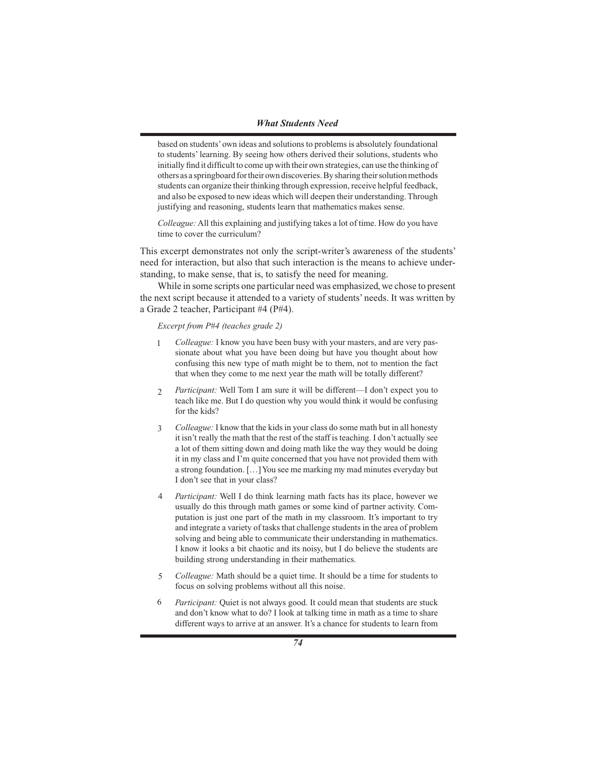based on students' own ideas and solutions to problems is absolutely foundational to students' learning. By seeing how others derived their solutions, students who initially find it difficult to come up with their own strategies, can use the thinking of others as a springboard for their own discoveries. By sharing their solution methods students can organize their thinking through expression, receive helpful feedback, and also be exposed to new ideas which will deepen their understanding. Through justifying and reasoning, students learn that mathematics makes sense.

*Colleague:* All this explaining and justifying takes a lot of time. How do you have time to cover the curriculum?

This excerpt demonstrates not only the script-writer's awareness of the students' need for interaction, but also that such interaction is the means to achieve understanding, to make sense, that is, to satisfy the need for meaning.

While in some scripts one particular need was emphasized, we chose to present the next script because it attended to a variety of students' needs. It was written by a Grade 2 teacher, Participant #4 (P#4).

#### *Excerpt from P#4 (teaches grade 2)*

- *Colleague:* I know you have been busy with your masters, and are very passionate about what you have been doing but have you thought about how confusing this new type of math might be to them, not to mention the fact that when they come to me next year the math will be totally different? 1
- *Participant:* Well Tom I am sure it will be different—I don't expect you to teach like me. But I do question why you would think it would be confusing for the kids? 2
- *Colleague:* I know that the kids in your class do some math but in all honesty it isn't really the math that the rest of the staff is teaching. I don't actually see a lot of them sitting down and doing math like the way they would be doing it in my class and I'm quite concerned that you have not provided them with a strong foundation. […] You see me marking my mad minutes everyday but I don't see that in your class? 3
- *Participant:* Well I do think learning math facts has its place, however we usually do this through math games or some kind of partner activity. Computation is just one part of the math in my classroom. It's important to try and integrate a variety of tasks that challenge students in the area of problem solving and being able to communicate their understanding in mathematics. I know it looks a bit chaotic and its noisy, but I do believe the students are building strong understanding in their mathematics. 4
- *Colleague:* Math should be a quiet time. It should be a time for students to focus on solving problems without all this noise. 5
- *Participant:* Quiet is not always good. It could mean that students are stuck and don't know what to do? I look at talking time in math as a time to share different ways to arrive at an answer. It's a chance for students to learn from 6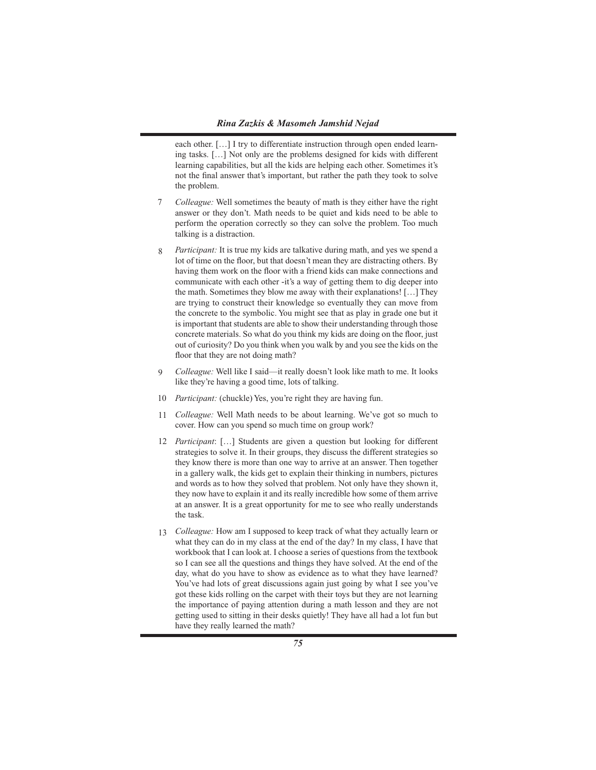each other. […] I try to differentiate instruction through open ended learning tasks. […] Not only are the problems designed for kids with different learning capabilities, but all the kids are helping each other. Sometimes it's not the final answer that's important, but rather the path they took to solve the problem.

- *Colleague:* Well sometimes the beauty of math is they either have the right answer or they don't. Math needs to be quiet and kids need to be able to perform the operation correctly so they can solve the problem. Too much talking is a distraction. 7
- *Participant:* It is true my kids are talkative during math, and yes we spend a lot of time on the floor, but that doesn't mean they are distracting others. By having them work on the floor with a friend kids can make connections and communicate with each other -it's a way of getting them to dig deeper into the math. Sometimes they blow me away with their explanations! […] They are trying to construct their knowledge so eventually they can move from the concrete to the symbolic. You might see that as play in grade one but it is important that students are able to show their understanding through those concrete materials. So what do you think my kids are doing on the floor, just out of curiosity? Do you think when you walk by and you see the kids on the floor that they are not doing math? 8
- *Colleague:* Well like I said—it really doesn't look like math to me. It looks like they're having a good time, lots of talking.  $Q$
- 10 Participant: (chuckle) Yes, you're right they are having fun.
- 11 *Colleague:* Well Math needs to be about learning. We've got so much to cover. How can you spend so much time on group work?
- 12 *Participant*: [...] Students are given a question but looking for different strategies to solve it. In their groups, they discuss the different strategies so they know there is more than one way to arrive at an answer. Then together in a gallery walk, the kids get to explain their thinking in numbers, pictures and words as to how they solved that problem. Not only have they shown it, they now have to explain it and its really incredible how some of them arrive at an answer. It is a great opportunity for me to see who really understands the task.
- *Colleague:* How am I supposed to keep track of what they actually learn or 13what they can do in my class at the end of the day? In my class, I have that workbook that I can look at. I choose a series of questions from the textbook so I can see all the questions and things they have solved. At the end of the day, what do you have to show as evidence as to what they have learned? You've had lots of great discussions again just going by what I see you've got these kids rolling on the carpet with their toys but they are not learning the importance of paying attention during a math lesson and they are not getting used to sitting in their desks quietly! They have all had a lot fun but have they really learned the math?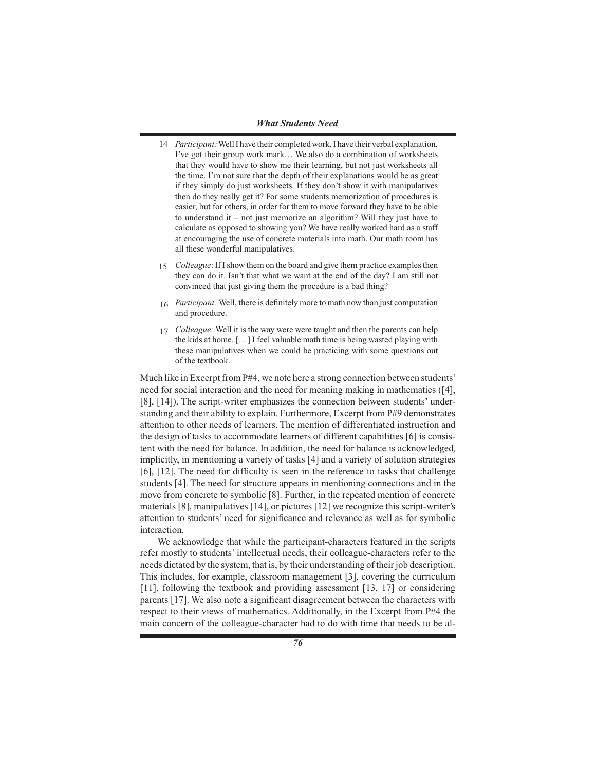- 14 Participant: Well I have their completed work, I have their verbal explanation, I've got their group work mark… We also do a combination of worksheets that they would have to show me their learning, but not just worksheets all the time. I'm not sure that the depth of their explanations would be as great if they simply do just worksheets. If they don't show it with manipulatives then do they really get it? For some students memorization of procedures is easier, but for others, in order for them to move forward they have to be able to understand it – not just memorize an algorithm? Will they just have to calculate as opposed to showing you? We have really worked hard as a staff at encouraging the use of concrete materials into math. Our math room has all these wonderful manipulatives.
- *Colleague*: If I show them on the board and give them practice examples then they can do it. Isn't that what we want at the end of the day? I am still not convinced that just giving them the procedure is a bad thing? 15
- *Participant:* Well, there is definitely more to math now than just computation 16 and procedure.
- *Colleague:* Well it is the way were were taught and then the parents can help 17 the kids at home. […] I feel valuable math time is being wasted playing with these manipulatives when we could be practicing with some questions out of the textbook.

Much like in Excerpt from P#4, we note here a strong connection between students' need for social interaction and the need for meaning making in mathematics ([4], [8], [14]). The script-writer emphasizes the connection between students' understanding and their ability to explain. Furthermore, Excerpt from P#9 demonstrates attention to other needs of learners. The mention of differentiated instruction and the design of tasks to accommodate learners of different capabilities [6] is consistent with the need for balance. In addition, the need for balance is acknowledged, implicitly, in mentioning a variety of tasks [4] and a variety of solution strategies [6], [12]. The need for difficulty is seen in the reference to tasks that challenge students [4]. The need for structure appears in mentioning connections and in the move from concrete to symbolic [8]. Further, in the repeated mention of concrete materials [8], manipulatives [14], or pictures [12] we recognize this script-writer's attention to students' need for significance and relevance as well as for symbolic interaction.

We acknowledge that while the participant-characters featured in the scripts refer mostly to students' intellectual needs, their colleague-characters refer to the needs dictated by the system, that is, by their understanding of their job description. This includes, for example, classroom management [3], covering the curriculum [11], following the textbook and providing assessment [13, 17] or considering parents [17]. We also note a significant disagreement between the characters with respect to their views of mathematics. Additionally, in the Excerpt from P#4 the main concern of the colleague-character had to do with time that needs to be al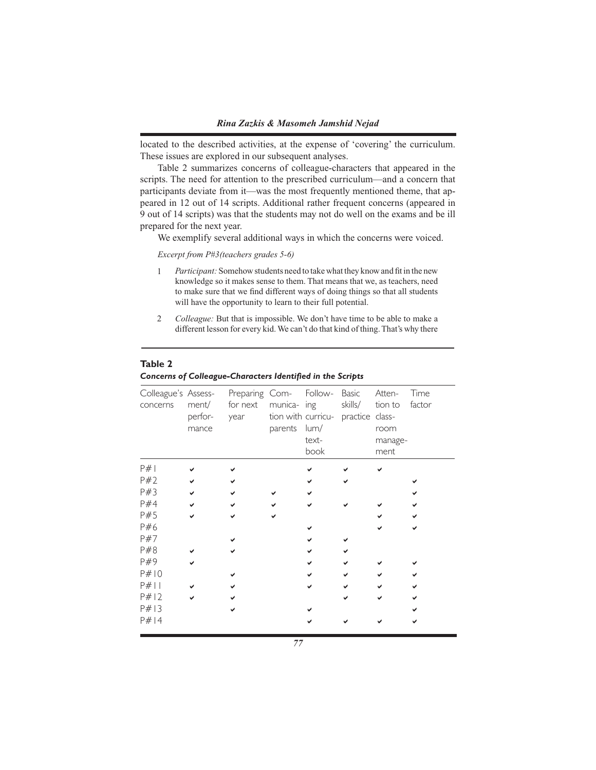located to the described activities, at the expense of 'covering' the curriculum. These issues are explored in our subsequent analyses.

Table 2 summarizes concerns of colleague-characters that appeared in the scripts. The need for attention to the prescribed curriculum—and a concern that participants deviate from it—was the most frequently mentioned theme, that appeared in 12 out of 14 scripts. Additional rather frequent concerns (appeared in 9 out of 14 scripts) was that the students may not do well on the exams and be ill prepared for the next year.

We exemplify several additional ways in which the concerns were voiced.

*Excerpt from P#3(teachers grades 5-6)*

- *Participant:* Somehow students need to take what they know and fit in the new knowledge so it makes sense to them. That means that we, as teachers, need to make sure that we find different ways of doing things so that all students will have the opportunity to learn to their full potential. 1
- *Colleague:* But that is impossible. We don't have time to be able to make a different lesson for every kid. We can't do that kind of thing. That's why there 2

#### **Table 2**

| Colleague's Assess-<br>concerns | ment/<br>perfor-<br>mance | Preparing Com- Follow- Basic<br>for next<br>year | parents | munica- ing<br>tion with curricu- practice class-<br>lum/<br>text-<br>book | skills/ | Atten-<br>tion to<br>room<br>manage-<br>ment | Time<br>factor |
|---------------------------------|---------------------------|--------------------------------------------------|---------|----------------------------------------------------------------------------|---------|----------------------------------------------|----------------|
| P#                              |                           |                                                  |         |                                                                            |         |                                              |                |
| P#2                             |                           |                                                  |         |                                                                            |         |                                              |                |
| P#3                             |                           |                                                  |         |                                                                            |         |                                              |                |
| P#4                             |                           |                                                  |         |                                                                            |         |                                              |                |
| P#5                             |                           |                                                  |         |                                                                            |         |                                              |                |
| P#6                             |                           |                                                  |         |                                                                            |         |                                              |                |
| P#7                             |                           |                                                  |         |                                                                            |         |                                              |                |
| P#8                             |                           |                                                  |         |                                                                            |         |                                              |                |
| P#9                             |                           |                                                  |         |                                                                            |         |                                              |                |
| P#10                            |                           |                                                  |         |                                                                            |         |                                              |                |
| $P#$                            |                           |                                                  |         |                                                                            |         |                                              |                |
| P#12                            |                           |                                                  |         |                                                                            |         |                                              |                |
| P#13                            |                           |                                                  |         |                                                                            |         |                                              |                |
| P#14                            |                           |                                                  |         |                                                                            |         |                                              |                |

#### *Concerns of Colleague-Characters Identified in the Scripts*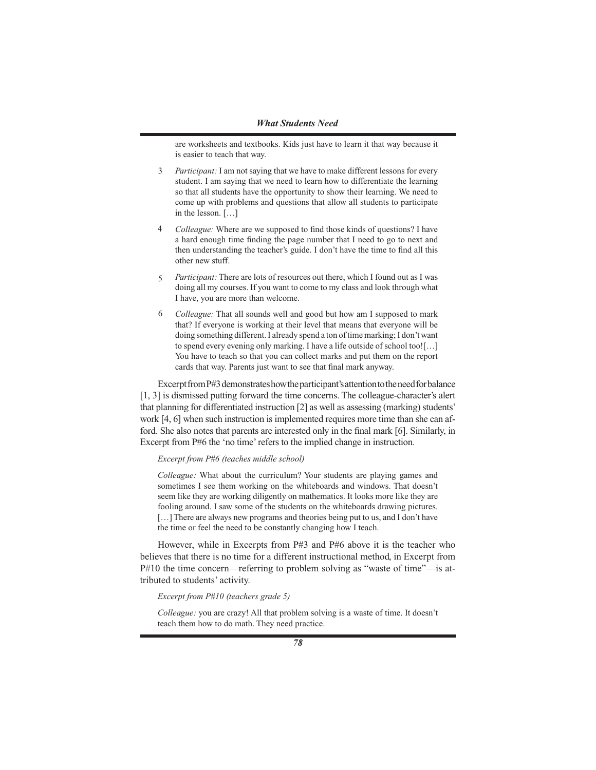are worksheets and textbooks. Kids just have to learn it that way because it is easier to teach that way.

- *Participant:* I am not saying that we have to make different lessons for every student. I am saying that we need to learn how to differentiate the learning so that all students have the opportunity to show their learning. We need to come up with problems and questions that allow all students to participate in the lesson. […] 3
- *Colleague:* Where are we supposed to find those kinds of questions? I have a hard enough time finding the page number that I need to go to next and then understanding the teacher's guide. I don't have the time to find all this other new stuff. 4
- *Participant:* There are lots of resources out there, which I found out as I was doing all my courses. If you want to come to my class and look through what I have, you are more than welcome. 5
- *Colleague:* That all sounds well and good but how am I supposed to mark that? If everyone is working at their level that means that everyone will be doing something different. I already spend a ton of time marking; I don't want to spend every evening only marking. I have a life outside of school too![…] You have to teach so that you can collect marks and put them on the report cards that way. Parents just want to see that final mark anyway. 6

Excerpt from P#3 demonstrates how the participant's attention to the need for balance [1, 3] is dismissed putting forward the time concerns. The colleague-character's alert that planning for differentiated instruction [2] as well as assessing (marking) students' work [4, 6] when such instruction is implemented requires more time than she can afford. She also notes that parents are interested only in the final mark [6]. Similarly, in Excerpt from P#6 the 'no time' refers to the implied change in instruction.

#### *Excerpt from P#6 (teaches middle school)*

*Colleague:* What about the curriculum? Your students are playing games and sometimes I see them working on the whiteboards and windows. That doesn't seem like they are working diligently on mathematics. It looks more like they are fooling around. I saw some of the students on the whiteboards drawing pictures. [...] There are always new programs and theories being put to us, and I don't have the time or feel the need to be constantly changing how I teach.

However, while in Excerpts from P#3 and P#6 above it is the teacher who believes that there is no time for a different instructional method, in Excerpt from P#10 the time concern—referring to problem solving as "waste of time"—is attributed to students' activity.

### *Excerpt from P#10 (teachers grade 5)*

*Colleague:* you are crazy! All that problem solving is a waste of time. It doesn't teach them how to do math. They need practice.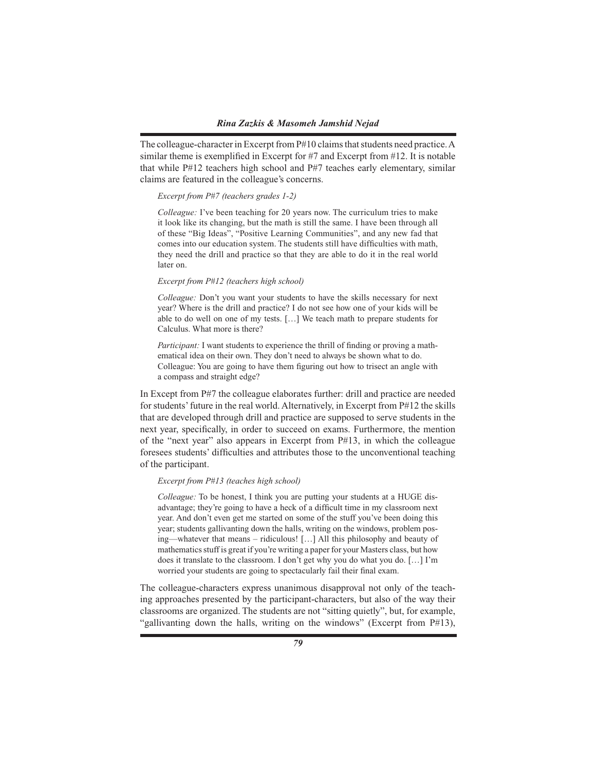The colleague-character in Excerpt from P#10 claims that students need practice. A similar theme is exemplified in Excerpt for #7 and Excerpt from #12. It is notable that while P#12 teachers high school and P#7 teaches early elementary, similar claims are featured in the colleague's concerns.

#### *Excerpt from P#7 (teachers grades 1-2)*

*Colleague:* I've been teaching for 20 years now. The curriculum tries to make it look like its changing, but the math is still the same. I have been through all of these "Big Ideas", "Positive Learning Communities", and any new fad that comes into our education system. The students still have difficulties with math, they need the drill and practice so that they are able to do it in the real world later on.

### *Excerpt from P#12 (teachers high school)*

*Colleague:* Don't you want your students to have the skills necessary for next year? Where is the drill and practice? I do not see how one of your kids will be able to do well on one of my tests. […] We teach math to prepare students for Calculus. What more is there?

*Participant:* I want students to experience the thrill of finding or proving a mathematical idea on their own. They don't need to always be shown what to do. Colleague: You are going to have them figuring out how to trisect an angle with a compass and straight edge?

In Except from P#7 the colleague elaborates further: drill and practice are needed for students' future in the real world. Alternatively, in Excerpt from P#12 the skills that are developed through drill and practice are supposed to serve students in the next year, specifically, in order to succeed on exams. Furthermore, the mention of the "next year" also appears in Excerpt from  $P#13$ , in which the colleague foresees students' difficulties and attributes those to the unconventional teaching of the participant.

### *Excerpt from P#13 (teaches high school)*

*Colleague:* To be honest, I think you are putting your students at a HUGE disadvantage; they're going to have a heck of a difficult time in my classroom next year. And don't even get me started on some of the stuff you've been doing this year; students gallivanting down the halls, writing on the windows, problem posing—whatever that means – ridiculous! […] All this philosophy and beauty of mathematics stuff is great if you're writing a paper for your Masters class, but how does it translate to the classroom. I don't get why you do what you do. […] I'm worried your students are going to spectacularly fail their final exam.

The colleague-characters express unanimous disapproval not only of the teaching approaches presented by the participant-characters, but also of the way their classrooms are organized. The students are not "sitting quietly", but, for example, "gallivanting down the halls, writing on the windows" (Excerpt from P#13),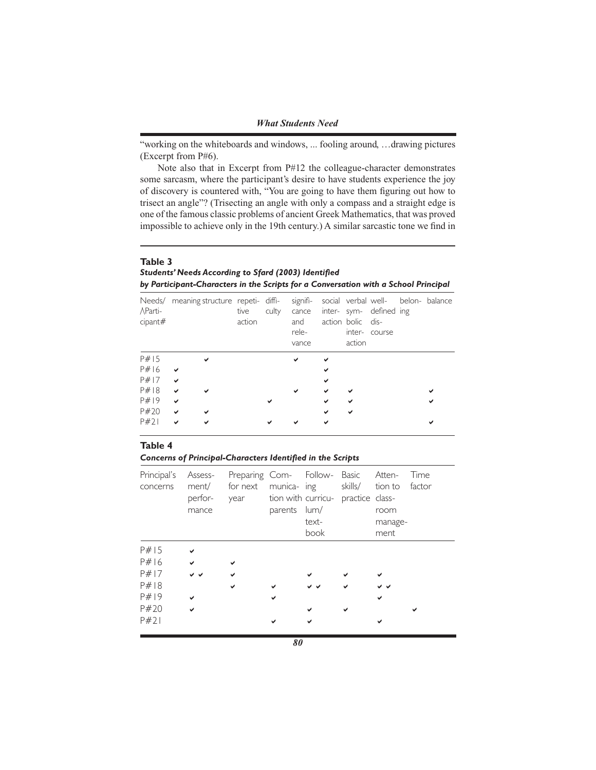"working on the whiteboards and windows, ... fooling around, …drawing pictures (Excerpt from P#6).

Note also that in Excerpt from P#12 the colleague-character demonstrates some sarcasm, where the participant's desire to have students experience the joy of discovery is countered with, "You are going to have them figuring out how to trisect an angle"? (Trisecting an angle with only a compass and a straight edge is one of the famous classic problems of ancient Greek Mathematics, that was proved impossible to achieve only in the 19th century.) A similar sarcastic tone we find in

# **Table 3** *Students' Needs According to Sfard (2003) Identified by Participant-Characters in the Scripts for a Conversation with a School Principal*

| AParti-<br>cipant# | Needs/ meaning structure repeti- diffi- | tive<br>action | culty | signifi-<br>cance<br>and<br>rele-<br>vance |   | action bolic dis-<br>action | inter- sym- defined ing<br>inter-course | social verbal well- belon- balance |
|--------------------|-----------------------------------------|----------------|-------|--------------------------------------------|---|-----------------------------|-----------------------------------------|------------------------------------|
| P#15               |                                         |                |       |                                            |   |                             |                                         |                                    |
| P#16               |                                         |                |       |                                            |   |                             |                                         |                                    |
| P#17               | $\checkmark$                            |                |       |                                            | ✔ |                             |                                         |                                    |
| P#18               | ✔                                       |                |       |                                            | ✔ |                             |                                         |                                    |
| P#19               | $\checkmark$                            |                |       |                                            | ✔ | ✓                           |                                         |                                    |
| P#20               | $\checkmark$                            |                |       |                                            |   | ✔                           |                                         |                                    |
| P#21               |                                         |                |       |                                            |   |                             |                                         |                                    |

#### **Table 4**

*Concerns of Principal-Characters Identified in the Scripts* 

| Principal's<br>concerns | ment/ for next<br>perfor-<br>mance | Assess- Preparing Com- Follow- Basic Atten-<br>year tion with curricu- practice class- | parents lum/ | munica- ing skills/ tion to<br>text-<br>book | room<br>manage-<br>ment | Time<br>factor |
|-------------------------|------------------------------------|----------------------------------------------------------------------------------------|--------------|----------------------------------------------|-------------------------|----------------|
| P#15                    |                                    |                                                                                        |              |                                              |                         |                |
| P#16                    |                                    |                                                                                        |              |                                              |                         |                |
| P#17                    |                                    |                                                                                        |              |                                              |                         |                |
| P#18                    |                                    |                                                                                        |              |                                              |                         |                |
| P#19                    |                                    |                                                                                        |              |                                              |                         |                |
| P#20                    | $\checkmark$                       |                                                                                        |              |                                              |                         |                |
| P#21                    |                                    |                                                                                        |              |                                              |                         |                |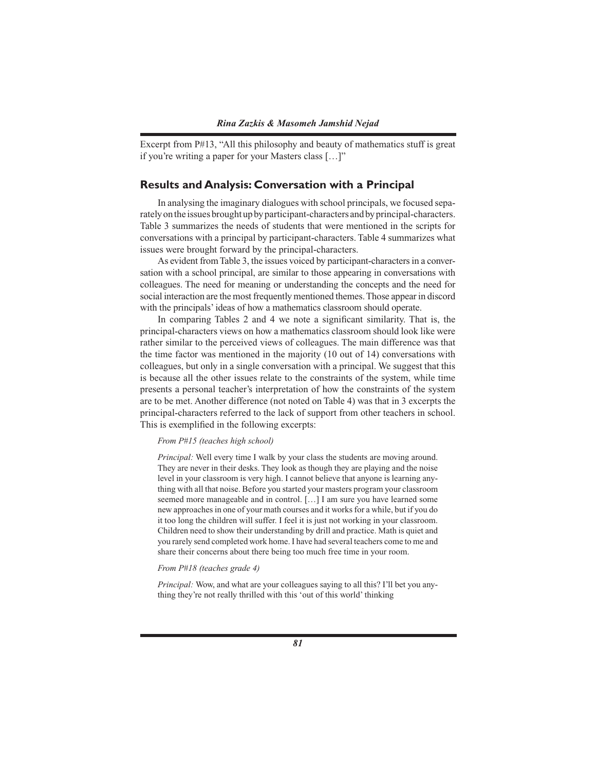Excerpt from P#13, "All this philosophy and beauty of mathematics stuff is great if you're writing a paper for your Masters class […]"

## **Results and Analysis: Conversation with a Principal**

In analysing the imaginary dialogues with school principals, we focused separately on the issues brought up by participant-characters and by principal-characters. Table 3 summarizes the needs of students that were mentioned in the scripts for conversations with a principal by participant-characters. Table 4 summarizes what issues were brought forward by the principal-characters.

As evident from Table 3, the issues voiced by participant-characters in a conversation with a school principal, are similar to those appearing in conversations with colleagues. The need for meaning or understanding the concepts and the need for social interaction are the most frequently mentioned themes. Those appear in discord with the principals' ideas of how a mathematics classroom should operate.

In comparing Tables 2 and 4 we note a significant similarity. That is, the principal-characters views on how a mathematics classroom should look like were rather similar to the perceived views of colleagues. The main difference was that the time factor was mentioned in the majority (10 out of 14) conversations with colleagues, but only in a single conversation with a principal. We suggest that this is because all the other issues relate to the constraints of the system, while time presents a personal teacher's interpretation of how the constraints of the system are to be met. Another difference (not noted on Table 4) was that in 3 excerpts the principal-characters referred to the lack of support from other teachers in school. This is exemplified in the following excerpts:

#### *From P#15 (teaches high school)*

*Principal:* Well every time I walk by your class the students are moving around. They are never in their desks. They look as though they are playing and the noise level in your classroom is very high. I cannot believe that anyone is learning anything with all that noise. Before you started your masters program your classroom seemed more manageable and in control. […] I am sure you have learned some new approaches in one of your math courses and it works for a while, but if you do it too long the children will suffer. I feel it is just not working in your classroom. Children need to show their understanding by drill and practice. Math is quiet and you rarely send completed work home. I have had several teachers come to me and share their concerns about there being too much free time in your room.

#### *From P#18 (teaches grade 4)*

*Principal:* Wow, and what are your colleagues saying to all this? I'll bet you anything they're not really thrilled with this 'out of this world' thinking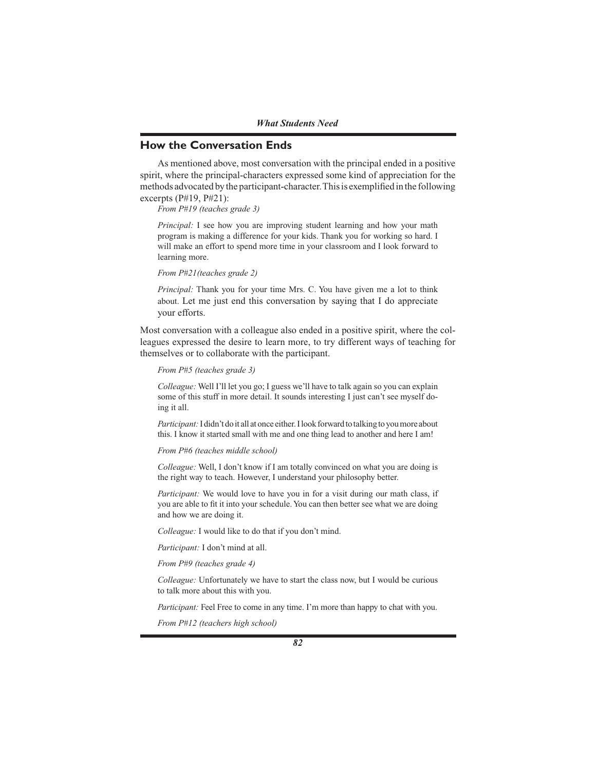*What Students Need*

# **How the Conversation Ends**

As mentioned above, most conversation with the principal ended in a positive spirit, where the principal-characters expressed some kind of appreciation for the methods advocated by the participant-character. This is exemplified in the following excerpts  $(P#19, P#21)$ :

*From P#19 (teaches grade 3)*

*Principal:* I see how you are improving student learning and how your math program is making a difference for your kids. Thank you for working so hard. I will make an effort to spend more time in your classroom and I look forward to learning more.

*From P#21(teaches grade 2)*

*Principal:* Thank you for your time Mrs. C. You have given me a lot to think about. Let me just end this conversation by saying that I do appreciate your efforts.

Most conversation with a colleague also ended in a positive spirit, where the colleagues expressed the desire to learn more, to try different ways of teaching for themselves or to collaborate with the participant.

#### *From P#5 (teaches grade 3)*

*Colleague:* Well I'll let you go; I guess we'll have to talk again so you can explain some of this stuff in more detail. It sounds interesting I just can't see myself doing it all.

*Participant:* I didn't do it all at once either. I look forward to talking to you more about this. I know it started small with me and one thing lead to another and here I am!

*From P#6 (teaches middle school)*

*Colleague:* Well, I don't know if I am totally convinced on what you are doing is the right way to teach. However, I understand your philosophy better.

*Participant:* We would love to have you in for a visit during our math class, if you are able to fit it into your schedule. You can then better see what we are doing and how we are doing it.

*Colleague:* I would like to do that if you don't mind.

*Participant:* I don't mind at all.

*From P#9 (teaches grade 4)*

*Colleague:* Unfortunately we have to start the class now, but I would be curious to talk more about this with you.

*Participant:* Feel Free to come in any time. I'm more than happy to chat with you.

*From P#12 (teachers high school)*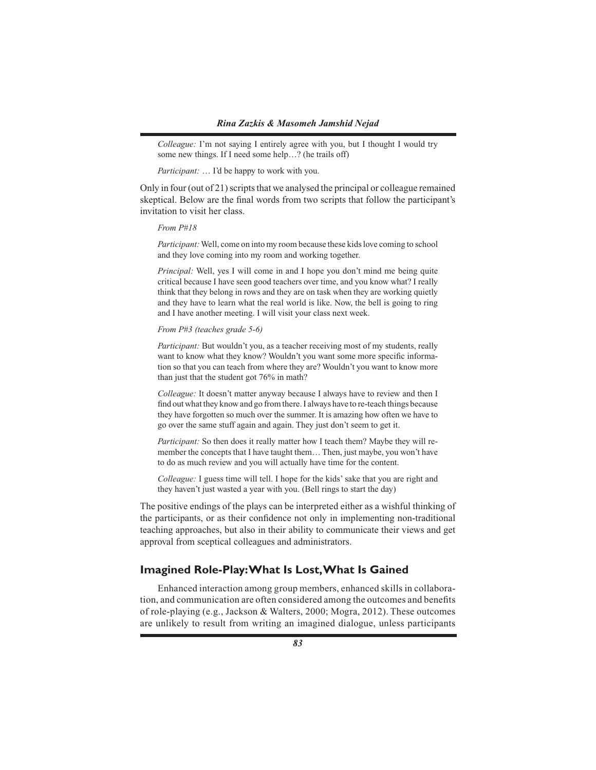*Colleague:* I'm not saying I entirely agree with you, but I thought I would try some new things. If I need some help…? (he trails off)

*Participant:* … I'd be happy to work with you.

Only in four (out of 21) scripts that we analysed the principal or colleague remained skeptical. Below are the final words from two scripts that follow the participant's invitation to visit her class.

#### *From P#18*

*Participant:* Well, come on into my room because these kids love coming to school and they love coming into my room and working together.

*Principal:* Well, yes I will come in and I hope you don't mind me being quite critical because I have seen good teachers over time, and you know what? I really think that they belong in rows and they are on task when they are working quietly and they have to learn what the real world is like. Now, the bell is going to ring and I have another meeting. I will visit your class next week.

#### *From P#3 (teaches grade 5-6)*

*Participant:* But wouldn't you, as a teacher receiving most of my students, really want to know what they know? Wouldn't you want some more specific information so that you can teach from where they are? Wouldn't you want to know more than just that the student got 76% in math?

*Colleague:* It doesn't matter anyway because I always have to review and then I find out what they know and go from there. I always have to re-teach things because they have forgotten so much over the summer. It is amazing how often we have to go over the same stuff again and again. They just don't seem to get it.

*Participant:* So then does it really matter how I teach them? Maybe they will remember the concepts that I have taught them… Then, just maybe, you won't have to do as much review and you will actually have time for the content.

*Colleague:* I guess time will tell. I hope for the kids' sake that you are right and they haven't just wasted a year with you. (Bell rings to start the day)

The positive endings of the plays can be interpreted either as a wishful thinking of the participants, or as their confidence not only in implementing non-traditional teaching approaches, but also in their ability to communicate their views and get approval from sceptical colleagues and administrators.

# **Imagined Role-Play: What Is Lost, What Is Gained**

Enhanced interaction among group members, enhanced skills in collaboration, and communication are often considered among the outcomes and benefits of role-playing (e.g., Jackson & Walters, 2000; Mogra, 2012). These outcomes are unlikely to result from writing an imagined dialogue, unless participants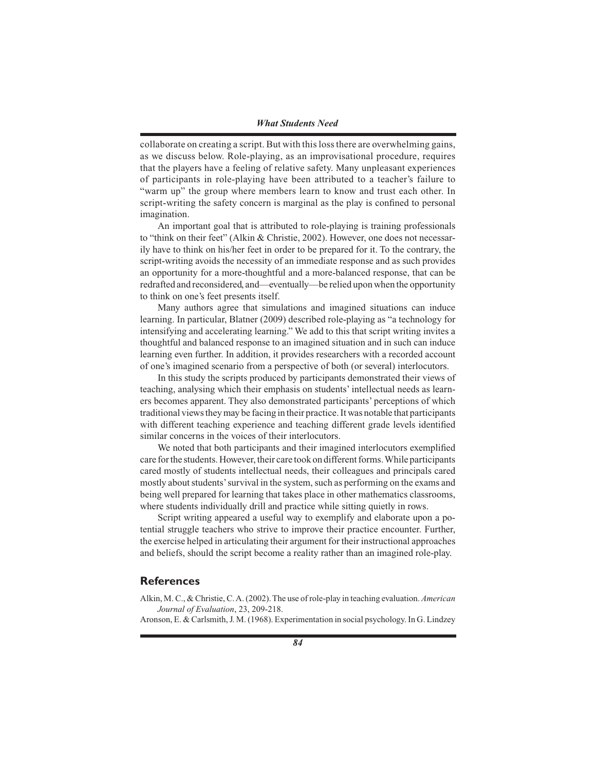collaborate on creating a script. But with this loss there are overwhelming gains, as we discuss below. Role-playing, as an improvisational procedure, requires that the players have a feeling of relative safety. Many unpleasant experiences of participants in role-playing have been attributed to a teacher's failure to "warm up" the group where members learn to know and trust each other. In script-writing the safety concern is marginal as the play is confined to personal imagination.

An important goal that is attributed to role-playing is training professionals to "think on their feet" (Alkin & Christie, 2002). However, one does not necessarily have to think on his/her feet in order to be prepared for it. To the contrary, the script-writing avoids the necessity of an immediate response and as such provides an opportunity for a more-thoughtful and a more-balanced response, that can be redrafted and reconsidered, and—eventually—be relied upon when the opportunity to think on one's feet presents itself.

Many authors agree that simulations and imagined situations can induce learning. In particular, Blatner (2009) described role-playing as "a technology for intensifying and accelerating learning." We add to this that script writing invites a thoughtful and balanced response to an imagined situation and in such can induce learning even further. In addition, it provides researchers with a recorded account of one's imagined scenario from a perspective of both (or several) interlocutors.

In this study the scripts produced by participants demonstrated their views of teaching, analysing which their emphasis on students' intellectual needs as learners becomes apparent. They also demonstrated participants' perceptions of which traditional views they may be facing in their practice. It was notable that participants with different teaching experience and teaching different grade levels identified similar concerns in the voices of their interlocutors.

We noted that both participants and their imagined interlocutors exemplified care for the students. However, their care took on different forms. While participants cared mostly of students intellectual needs, their colleagues and principals cared mostly about students' survival in the system, such as performing on the exams and being well prepared for learning that takes place in other mathematics classrooms, where students individually drill and practice while sitting quietly in rows.

Script writing appeared a useful way to exemplify and elaborate upon a potential struggle teachers who strive to improve their practice encounter. Further, the exercise helped in articulating their argument for their instructional approaches and beliefs, should the script become a reality rather than an imagined role-play.

# **References**

Alkin, M. C., & Christie, C. A. (2002). The use of role-play in teaching evaluation. *American Journal of Evaluation*, 23, 209-218.

Aronson, E. & Carlsmith, J. M. (1968). Experimentation in social psychology. In G. Lindzey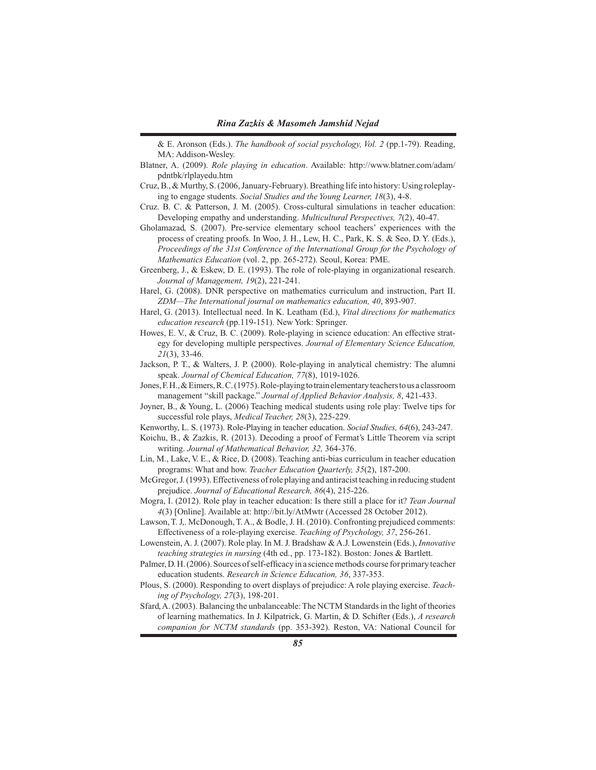& E. Aronson (Eds.). *The handbook of social psychology, Vol. 2* (pp.1-79). Reading, MA: Addison-Wesley.

- Blatner, A. (2009). *Role playing in education*. Available: http://www.blatner.com/adam/ pdntbk/rlplayedu.htm
- Cruz, B., & Murthy, S. (2006, January-February). Breathing life into history: Using roleplaying to engage students. *Social Studies and the Young Learner, 18*(3), 4-8.
- Cruz. B. C. & Patterson, J. M. (2005). Cross-cultural simulations in teacher education: Developing empathy and understanding. *Multicultural Perspectives, 7*(2), 40-47.
- Gholamazad, S. (2007). Pre-service elementary school teachers' experiences with the process of creating proofs. In Woo, J. H., Lew, H. C., Park, K. S. & Seo, D. Y. (Eds.), *Proceedings of the 31st Conference of the International Group for the Psychology of Mathematics Education* (vol. 2, pp. 265-272). Seoul, Korea: PME.
- Greenberg, J., & Eskew, D. E. (1993). The role of role-playing in organizational research. *Journal of Management, 19*(2), 221-241.
- Harel, G. (2008). DNR perspective on mathematics curriculum and instruction, Part II. *ZDM—The International journal on mathematics education, 40*, 893-907.
- Harel, G. (2013). Intellectual need. In K. Leatham (Ed.), *Vital directions for mathematics education research* (pp.119-151). New York: Springer.
- Howes, E. V., & Cruz, B. C. (2009). Role-playing in science education: An effective strategy for developing multiple perspectives. *Journal of Elementary Science Education, 21*(3), 33-46.
- Jackson, P. T., & Walters, J. P. (2000). Role-playing in analytical chemistry: The alumni speak. *Journal of Chemical Education, 77*(8), 1019-1026.
- Jones, F. H., & Eimers, R. C. (1975). Role-playing to train elementary teachers to us a classroom management "skill package." *Journal of Applied Behavior Analysis, 8*, 421-433.
- Joyner, B., & Young, L. (2006) Teaching medical students using role play: Twelve tips for successful role plays, *Medical Teacher, 28*(3), 225-229.
- Kenworthy, L. S. (1973). Role-Playing in teacher education. *Social Studies, 64*(6), 243-247.
- Koichu, B., & Zazkis, R. (2013). Decoding a proof of Fermat's Little Theorem via script writing. *Journal of Mathematical Behavior, 32,* 364-376.
- Lin, M., Lake, V. E., & Rice, D. (2008). Teaching anti-bias curriculum in teacher education programs: What and how. *Teacher Education Quarterly, 35*(2), 187-200.
- McGregor, J. (1993). Effectiveness of role playing and antiracist teaching in reducing student prejudice. *Journal of Educational Research, 86*(4), 215-226.
- Mogra, I. (2012). Role play in teacher education: Is there still a place for it? *Tean Journal 4*(3) [Online]. Available at: http://bit.ly/AtMwtr (Accessed 28 October 2012).
- Lawson, T. J,. McDonough, T. A., & Bodle, J. H. (2010). Confronting prejudiced comments: Effectiveness of a role-playing exercise. *Teaching of Psychology, 37*, 256-261.
- Lowenstein, A. J. (2007). Role play. In M. J. Bradshaw & A.J. Lowenstein (Eds.), *Innovative teaching strategies in nursing* (4th ed., pp. 173-182). Boston: Jones & Bartlett.
- Palmer, D. H. (2006). Sources of self-efficacy in a science methods course for primary teacher education students. *Research in Science Education, 36*, 337-353.
- Plous, S. (2000). Responding to overt displays of prejudice: A role playing exercise. *Teaching of Psychology, 27*(3), 198-201.

Sfard, A. (2003). Balancing the unbalanceable: The NCTM Standards in the light of theories of learning mathematics. In J. Kilpatrick, G. Martin, & D. Schifter (Eds.), *A research companion for NCTM standards* (pp. 353-392). Reston, VA: National Council for